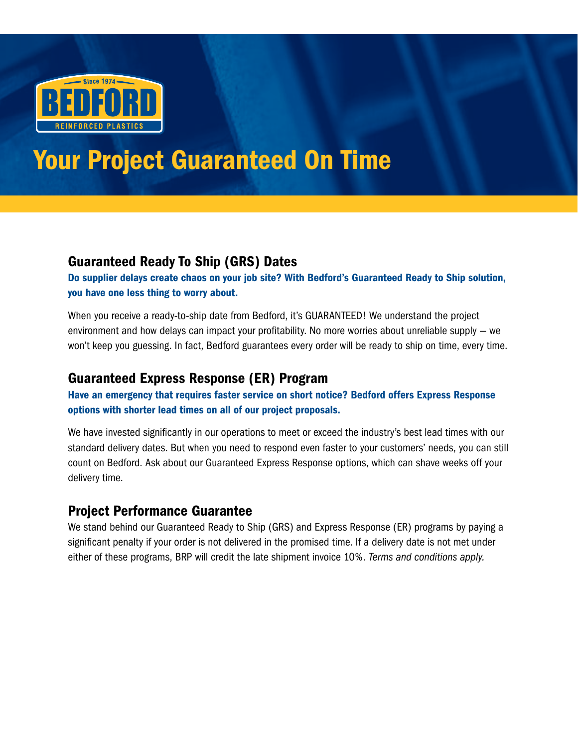

# Your Project Guaranteed On Time

# Guaranteed Ready To Ship (GRS) Dates

Do supplier delays create chaos on your job site? With Bedford's Guaranteed Ready to Ship solution, you have one less thing to worry about.

When you receive a ready-to-ship date from Bedford, it's GUARANTEED! We understand the project environment and how delays can impact your profitability. No more worries about unreliable supply — we won't keep you guessing. In fact, Bedford guarantees every order will be ready to ship on time, every time.

# Guaranteed Express Response (ER) Program

Have an emergency that requires faster service on short notice? Bedford offers Express Response options with shorter lead times on all of our project proposals.

We have invested significantly in our operations to meet or exceed the industry's best lead times with our standard delivery dates. But when you need to respond even faster to your customers' needs, you can still count on Bedford. Ask about our Guaranteed Express Response options, which can shave weeks off your delivery time.

# Project Performance Guarantee

We stand behind our Guaranteed Ready to Ship (GRS) and Express Response (ER) programs by paying a significant penalty if your order is not delivered in the promised time. If a delivery date is not met under either of these programs, BRP will credit the late shipment invoice 10%. *Terms and conditions apply.*